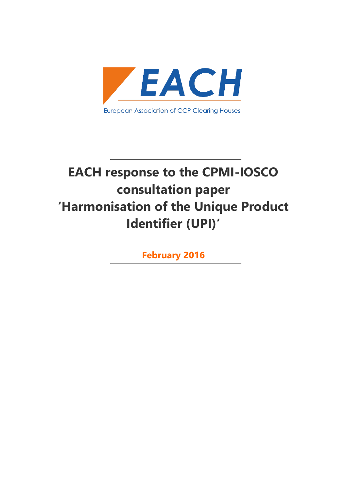

# **EACH response to the CPMI-IOSCO consultation paper 'Harmonisation of the Unique Product Identifier (UPI)'**

**February 2016**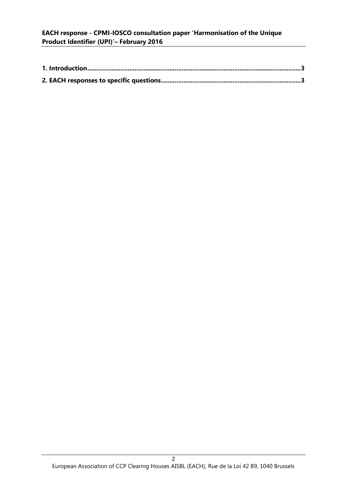# **EACH response - CPMI-IOSCO consultation paper 'Harmonisation of the Unique Product Identifier (UPI)'– February 2016**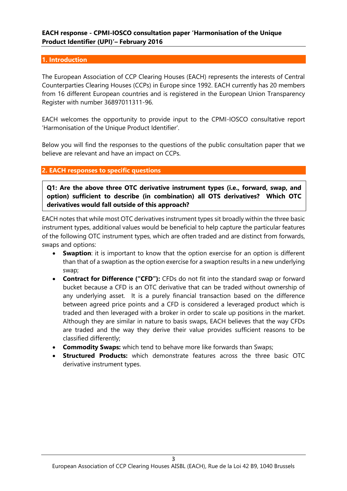#### <span id="page-2-1"></span><span id="page-2-0"></span>**1. Introduction**

The European Association of CCP Clearing Houses (EACH) represents the interests of Central Counterparties Clearing Houses (CCPs) in Europe since 1992. EACH currently has 20 members from 16 different European countries and is registered in the European Union Transparency Register with number 36897011311-96.

EACH welcomes the opportunity to provide input to the CPMI-IOSCO consultative report 'Harmonisation of the Unique Product Identifier'.

Below you will find the responses to the questions of the public consultation paper that we believe are relevant and have an impact on CCPs.

#### **2. EACH responses to specific questions**

**Q1: Are the above three OTC derivative instrument types (i.e., forward, swap, and option) sufficient to describe (in combination) all OTS derivatives? Which OTC derivatives would fall outside of this approach?**

EACH notes that while most OTC derivatives instrument types sit broadly within the three basic instrument types, additional values would be beneficial to help capture the particular features of the following OTC instrument types, which are often traded and are distinct from forwards, swaps and options:

- **Swaption**: it is important to know that the option exercise for an option is different than that of a swaption as the option exercise for a swaption results in a new underlying swap;
- **Contract for Difference ("CFD"):** CFDs do not fit into the standard swap or forward bucket because a CFD is an OTC derivative that can be traded without ownership of any underlying asset. It is a purely financial transaction based on the difference between agreed price points and a CFD is considered a leveraged product which is traded and then leveraged with a broker in order to scale up positions in the market. Although they are similar in nature to basis swaps, EACH believes that the way CFDs are traded and the way they derive their value provides sufficient reasons to be classified differently;
- **Commodity Swaps:** which tend to behave more like forwards than Swaps;
- **Structured Products:** which demonstrate features across the three basic OTC derivative instrument types.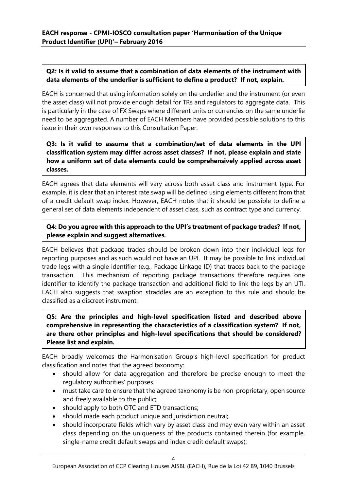## **Q2: Is it valid to assume that a combination of data elements of the instrument with data elements of the underlier is sufficient to define a product? If not, explain***.*

EACH is concerned that using information solely on the underlier and the instrument (or even the asset class) will not provide enough detail for TRs and regulators to aggregate data. This is particularly in the case of FX Swaps where different units or currencies on the same underlie need to be aggregated. A number of EACH Members have provided possible solutions to this issue in their own responses to this Consultation Paper.

# **Q3: Is it valid to assume that a combination/set of data elements in the UPI classification system may differ across asset classes? If not, please explain and state how a uniform set of data elements could be comprehensively applied across asset classes.**

EACH agrees that data elements will vary across both asset class and instrument type. For example, it is clear that an interest rate swap will be defined using elements different from that of a credit default swap index. However, EACH notes that it should be possible to define a general set of data elements independent of asset class, such as contract type and currency.

# **Q4: Do you agree with this approach to the UPI's treatment of package trades? If not, please explain and suggest alternatives***.*

EACH believes that package trades should be broken down into their individual legs for reporting purposes and as such would not have an UPI. It may be possible to link individual trade legs with a single identifier (e.g., Package Linkage ID) that traces back to the package transaction. This mechanism of reporting package transactions therefore requires one identifier to identify the package transaction and additional field to link the legs by an UTI. EACH also suggests that swaption straddles are an exception to this rule and should be classified as a discreet instrument.

# **Q5: Are the principles and high-level specification listed and described above comprehensive in representing the characteristics of a classification system? If not, are there other principles and high-level specifications that should be considered? Please list and explain.**

EACH broadly welcomes the Harmonisation Group's high-level specification for product classification and notes that the agreed taxonomy:

- should allow for data aggregation and therefore be precise enough to meet the regulatory authorities' purposes.
- must take care to ensure that the agreed taxonomy is be non-proprietary, open source and freely available to the public;
- should apply to both OTC and ETD transactions;
- should made each product unique and jurisdiction neutral;
- should incorporate fields which vary by asset class and may even vary within an asset class depending on the uniqueness of the products contained therein (for example, single-name credit default swaps and index credit default swaps);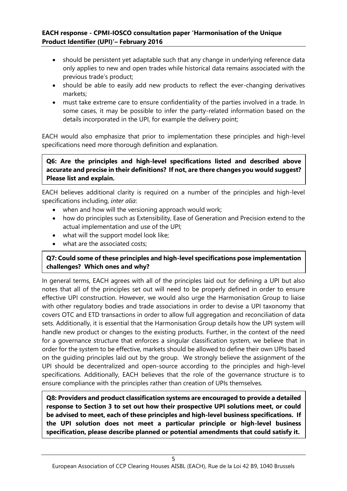- should be persistent yet adaptable such that any change in underlying reference data only applies to new and open trades while historical data remains associated with the previous trade's product;
- should be able to easily add new products to reflect the ever-changing derivatives markets;
- must take extreme care to ensure confidentiality of the parties involved in a trade. In some cases, it may be possible to infer the party-related information based on the details incorporated in the UPI, for example the delivery point;

EACH would also emphasize that prior to implementation these principles and high-level specifications need more thorough definition and explanation.

**Q6: Are the principles and high-level specifications listed and described above accurate and precise in their definitions? If not, are there changes you would suggest? Please list and explain.**

EACH believes additional clarity is required on a number of the principles and high-level specifications including, *inter alia*:

- when and how will the versioning approach would work;
- how do principles such as Extensibility, Ease of Generation and Precision extend to the actual implementation and use of the UPI;
- what will the support model look like;
- what are the associated costs:

## **Q7: Could some of these principles and high-level specifications pose implementation challenges? Which ones and why?**

In general terms, EACH agrees with all of the principles laid out for defining a UPI but also notes that all of the principles set out will need to be properly defined in order to ensure effective UPI construction. However, we would also urge the Harmonisation Group to liaise with other regulatory bodies and trade associations in order to devise a UPI taxonomy that covers OTC and ETD transactions in order to allow full aggregation and reconciliation of data sets. Additionally, it is essential that the Harmonisation Group details how the UPI system will handle new product or changes to the existing products. Further, in the context of the need for a governance structure that enforces a singular classification system, we believe that in order for the system to be effective, markets should be allowed to define their own UPIs based on the guiding principles laid out by the group. We strongly believe the assignment of the UPI should be decentralized and open-source according to the principles and high-level specifications. Additionally, EACH believes that the role of the governance structure is to ensure compliance with the principles rather than creation of UPIs themselves.

**Q8: Providers and product classification systems are encouraged to provide a detailed response to Section 3 to set out how their prospective UPI solutions meet, or could be advised to meet, each of these principles and high-level business specifications. If the UPI solution does not meet a particular principle or high-level business specification, please describe planned or potential amendments that could satisfy it.**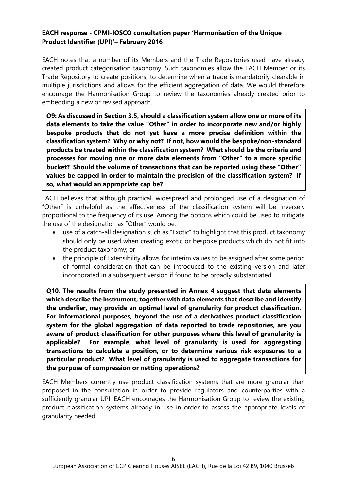#### **EACH response - CPMI-IOSCO consultation paper 'Harmonisation of the Unique Product Identifier (UPI)'– February 2016**

EACH notes that a number of its Members and the Trade Repositories used have already created product categorisation taxonomy. Such taxonomies allow the EACH Member or its Trade Repository to create positions, to determine when a trade is mandatorily clearable in multiple jurisdictions and allows for the efficient aggregation of data. We would therefore encourage the Harmonisation Group to review the taxonomies already created prior to embedding a new or revised approach.

**Q9: As discussed in Section 3.5, should a classification system allow one or more of its data elements to take the value "Other" in order to incorporate new and/or highly bespoke products that do not yet have a more precise definition within the classification system? Why or why not? If not, how would the bespoke/non-standard products be treated within the classification system? What should be the criteria and processes for moving one or more data elements from "Other" to a more specific bucket? Should the volume of transactions that can be reported using these "Other" values be capped in order to maintain the precision of the classification system? If so, what would an appropriate cap be?**

EACH believes that although practical, widespread and prolonged use of a designation of "Other" is unhelpful as the effectiveness of the classification system will be inversely proportional to the frequency of its use. Among the options which could be used to mitigate the use of the designation as "Other" would be:

- use of a catch-all designation such as "Exotic" to highlight that this product taxonomy should only be used when creating exotic or bespoke products which do not fit into the product taxonomy; or
- the principle of Extensibility allows for interim values to be assigned after some period of formal consideration that can be introduced to the existing version and later incorporated in a subsequent version if found to be broadly substantiated.

**Q10**: **The results from the study presented in Annex 4 suggest that data elements which describe the instrument, together with data elements that describe and identify the underlier, may provide an optimal level of granularity for product classification. For informational purposes, beyond the use of a derivatives product classification system for the global aggregation of data reported to trade repositories, are you aware of product classification for other purposes where this level of granularity is applicable? For example, what level of granularity is used for aggregating transactions to calculate a position, or to determine various risk exposures to a particular product? What level of granularity is used to aggregate transactions for the purpose of compression or netting operations?**

EACH Members currently use product classification systems that are more granular than proposed in the consultation in order to provide regulators and counterparties with a sufficiently granular UPI. EACH encourages the Harmonisation Group to review the existing product classification systems already in use in order to assess the appropriate levels of granularity needed.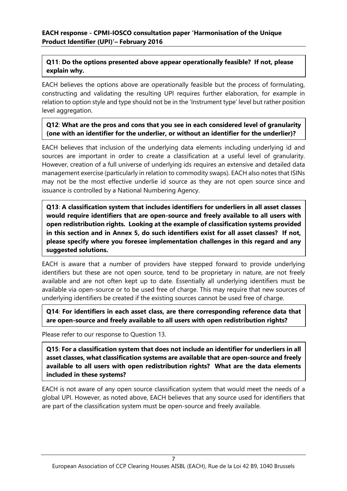# **Q11**: **Do the options presented above appear operationally feasible? If not, please explain why.**

EACH believes the options above are operationally feasible but the process of formulating, constructing and validating the resulting UPI requires further elaboration, for example in relation to option style and type should not be in the 'Instrument type' level but rather position level aggregation.

## **Q12**: **What are the pros and cons that you see in each considered level of granularity (one with an identifier for the underlier, or without an identifier for the underlier)?**

EACH believes that inclusion of the underlying data elements including underlying id and sources are important in order to create a classification at a useful level of granularity. However, creation of a full universe of underlying ids requires an extensive and detailed data management exercise (particularly in relation to commodity swaps). EACH also notes that ISINs may not be the most effective underlie id source as they are not open source since and issuance is controlled by a National Numbering Agency.

**Q13**: **A classification system that includes identifiers for underliers in all asset classes would require identifiers that are open-source and freely available to all users with open redistribution rights. Looking at the example of classification systems provided in this section and in Annex 5, do such identifiers exist for all asset classes? If not, please specify where you foresee implementation challenges in this regard and any suggested solutions.**

EACH is aware that a number of providers have stepped forward to provide underlying identifiers but these are not open source, tend to be proprietary in nature, are not freely available and are not often kept up to date. Essentially all underlying identifiers must be available via open-source or to be used free of charge. This may require that new sources of underlying identifiers be created if the existing sources cannot be used free of charge.

**Q14**: **For identifiers in each asset class, are there corresponding reference data that are open-source and freely available to all users with open redistribution rights?**

Please refer to our response to Question 13.

**Q15**: **For a classification system that does not include an identifier for underliers in all asset classes, what classification systems are available that are open-source and freely available to all users with open redistribution rights? What are the data elements included in these systems?**

EACH is not aware of any open source classification system that would meet the needs of a global UPI. However, as noted above, EACH believes that any source used for identifiers that are part of the classification system must be open-source and freely available.